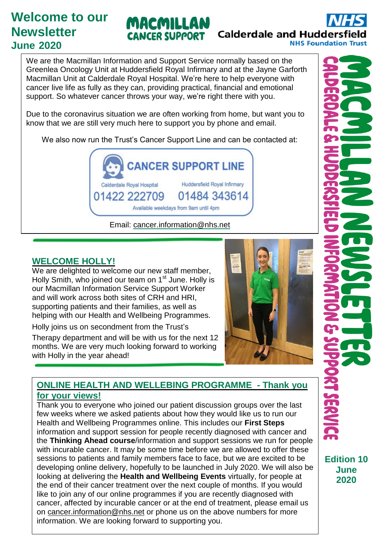# **Welcome to our Newsletter June 2020**

# MACMILLAN **CANCER SUPPORT**

**Calderdale and Huddersfiel NHS Foundation Trust** 

We are the Macmillan Information and Support Service normally based on the Greenlea Oncology Unit at Huddersfield Royal Infirmary and at the Jayne Garforth Macmillan Unit at Calderdale Royal Hospital. We're here to help everyone with cancer live life as fully as they can, providing practical, financial and emotional support. So whatever cancer throws your way, we're right there with you.

Due to the coronavirus situation we are often working from home, but want you to know that we are still very much here to support you by phone and email.

We also now run the Trust's Cancer Support Line and can be contacted at:



Email: [cancer.information@nhs.net](mailto:cancer.information@nhs.net)

## **WELCOME HOLLY!**

We are delighted to welcome our new staff member, Holly Smith, who joined our team on 1<sup>st</sup> June. Holly is our Macmillan Information Service Support Worker and will work across both sites of CRH and HRI, supporting patients and their families, as well as **helping with our Health and Wellbeing Programmes. The State of Books are: 1014844** 

**Holly joins us on secondment from the Trust's** 

Therapy department and will be with us for the next 12 months. We are very much looking forward to working with Holly in the year ahead!



#### ONI INE HEALTH AND WELL FOING BROOD AMME. Then k re  $\frac{1}{2}$  ONLINE HEALTH AND WELLEBING PROGRAMME - Thank you **for your views!**

Thank you to everyone who joined our patient discussion groups over the last few weeks where we asked patients about how they would like us to run our Health and Wellbeing Programmes online. This includes our **First Steps** information and support session for people recently diagnosed with cancer and the **Thinking Ahead course**/information and support sessions we run for people with incurable cancer. It may be some time before we are allowed to offer these sessions to patients and family members face to face, but we are excited to be developing online delivery, hopefully to be launched in July 2020. We will also be looking at delivering the **Health and Wellbeing Events** virtually, for people at the end of their cancer treatment over the next couple of months. If you would like to join any of our online programmes if you are recently diagnosed with cancer, affected by incurable cancer or at the end of treatment, please email us on [cancer.information@nhs.net](mailto:cancer.information@nhs.net) or phone us on the above numbers for more information. We are looking forward to supporting you.

**Edition 10 June 2020**